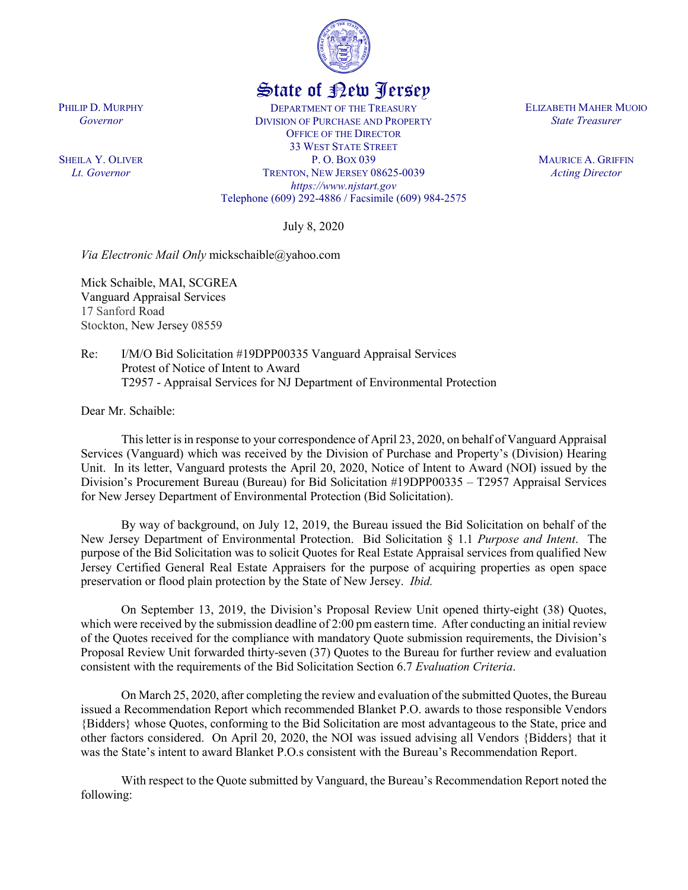

## State of New Jersey

DEPARTMENT OF THE TREASURY DIVISION OF PURCHASE AND PROPERTY OFFICE OF THE DIRECTOR 33 WEST STATE STREET P. O. BOX 039 TRENTON, NEW JERSEY 08625-0039 *https://www.njstart.gov* Telephone (609) 292-4886 / Facsimile (609) 984-2575

July 8, 2020

*Via Electronic Mail Only* mickschaible@yahoo.com

Mick Schaible, MAI, SCGREA Vanguard Appraisal Services 17 Sanford Road Stockton, New Jersey 08559

Re: I/M/O Bid Solicitation #19DPP00335 Vanguard Appraisal Services Protest of Notice of Intent to Award T2957 - Appraisal Services for NJ Department of Environmental Protection

Dear Mr. Schaible:

PHILIP D. MURPHY *Governor*

SHEILA Y. OLIVER *Lt. Governor*

> This letter is in response to your correspondence of April 23, 2020, on behalf of Vanguard Appraisal Services (Vanguard) which was received by the Division of Purchase and Property's (Division) Hearing Unit. In its letter, Vanguard protests the April 20, 2020, Notice of Intent to Award (NOI) issued by the Division's Procurement Bureau (Bureau) for Bid Solicitation #19DPP00335 – T2957 Appraisal Services for New Jersey Department of Environmental Protection (Bid Solicitation).

> By way of background, on July 12, 2019, the Bureau issued the Bid Solicitation on behalf of the New Jersey Department of Environmental Protection. Bid Solicitation § 1.1 *Purpose and Intent*. The purpose of the Bid Solicitation was to solicit Quotes for Real Estate Appraisal services from qualified New Jersey Certified General Real Estate Appraisers for the purpose of acquiring properties as open space preservation or flood plain protection by the State of New Jersey. *Ibid.*

> On September 13, 2019, the Division's Proposal Review Unit opened thirty-eight (38) Quotes, which were received by the submission deadline of 2:00 pm eastern time. After conducting an initial review of the Quotes received for the compliance with mandatory Quote submission requirements, the Division's Proposal Review Unit forwarded thirty-seven (37) Quotes to the Bureau for further review and evaluation consistent with the requirements of the Bid Solicitation Section 6.7 *Evaluation Criteria*.

> On March 25, 2020, after completing the review and evaluation of the submitted Quotes, the Bureau issued a Recommendation Report which recommended Blanket P.O. awards to those responsible Vendors {Bidders} whose Quotes, conforming to the Bid Solicitation are most advantageous to the State, price and other factors considered. On April 20, 2020, the NOI was issued advising all Vendors {Bidders} that it was the State's intent to award Blanket P.O.s consistent with the Bureau's Recommendation Report.

> With respect to the Quote submitted by Vanguard, the Bureau's Recommendation Report noted the following:

ELIZABETH MAHER MUOIO *State Treasurer*

> MAURICE A. GRIFFIN *Acting Director*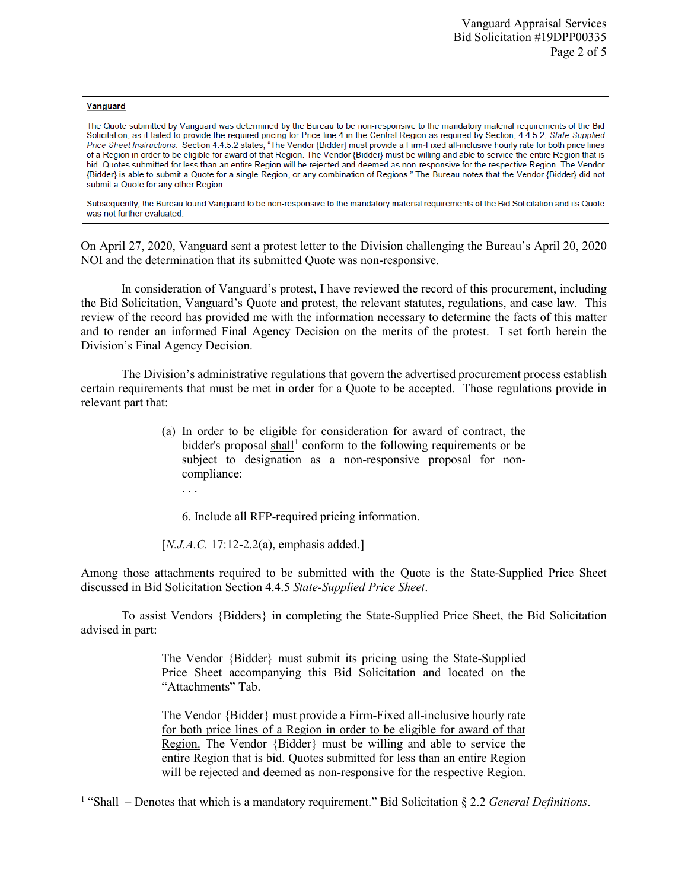## Vanguard

l

The Quote submitted by Vanguard was determined by the Bureau to be non-responsive to the mandatory material requirements of the Bid Solicitation, as it failed to provide the required pricing for Price line 4 in the Central Region as required by Section, 4.4.5.2, State Supplied Price Sheet Instructions. Section 4.4.5.2 states, "The Vendor (Bidder) must provide a Firm-Fixed all-inclusive hourly rate for both price lines of a Region in order to be eligible for award of that Region. The Vendor (Bidder) must be willing and able to service the entire Region that is bid. Quotes submitted for less than an entire Region will be rejected and deemed as non-responsive for the respective Region. The Vendor {Bidder} is able to submit a Quote for a single Region, or any combination of Regions." The Bureau notes that the Vendor {Bidder} did not submit a Quote for any other Region.

Subsequently, the Bureau found Vanguard to be non-responsive to the mandatory material requirements of the Bid Solicitation and its Quote was not further evaluated.

On April 27, 2020, Vanguard sent a protest letter to the Division challenging the Bureau's April 20, 2020 NOI and the determination that its submitted Quote was non-responsive.

In consideration of Vanguard's protest, I have reviewed the record of this procurement, including the Bid Solicitation, Vanguard's Quote and protest, the relevant statutes, regulations, and case law. This review of the record has provided me with the information necessary to determine the facts of this matter and to render an informed Final Agency Decision on the merits of the protest. I set forth herein the Division's Final Agency Decision.

The Division's administrative regulations that govern the advertised procurement process establish certain requirements that must be met in order for a Quote to be accepted. Those regulations provide in relevant part that:

- (a) In order to be eligible for consideration for award of contract, the bidder's proposal  $\text{shall}^1$  $\text{shall}^1$  conform to the following requirements or be subject to designation as a non-responsive proposal for noncompliance:
	- . . .

6. Include all RFP-required pricing information.

[*N.J.A.C.* 17:12-2.2(a), emphasis added.]

Among those attachments required to be submitted with the Quote is the State-Supplied Price Sheet discussed in Bid Solicitation Section 4.4.5 *State-Supplied Price Sheet*.

To assist Vendors {Bidders} in completing the State-Supplied Price Sheet, the Bid Solicitation advised in part:

> The Vendor {Bidder} must submit its pricing using the State-Supplied Price Sheet accompanying this Bid Solicitation and located on the "Attachments" Tab.

> The Vendor {Bidder} must provide a Firm-Fixed all-inclusive hourly rate for both price lines of a Region in order to be eligible for award of that Region. The Vendor {Bidder} must be willing and able to service the entire Region that is bid. Quotes submitted for less than an entire Region will be rejected and deemed as non-responsive for the respective Region.

<span id="page-1-0"></span><sup>1</sup> "Shall – Denotes that which is a mandatory requirement." Bid Solicitation § 2.2 *General Definitions*.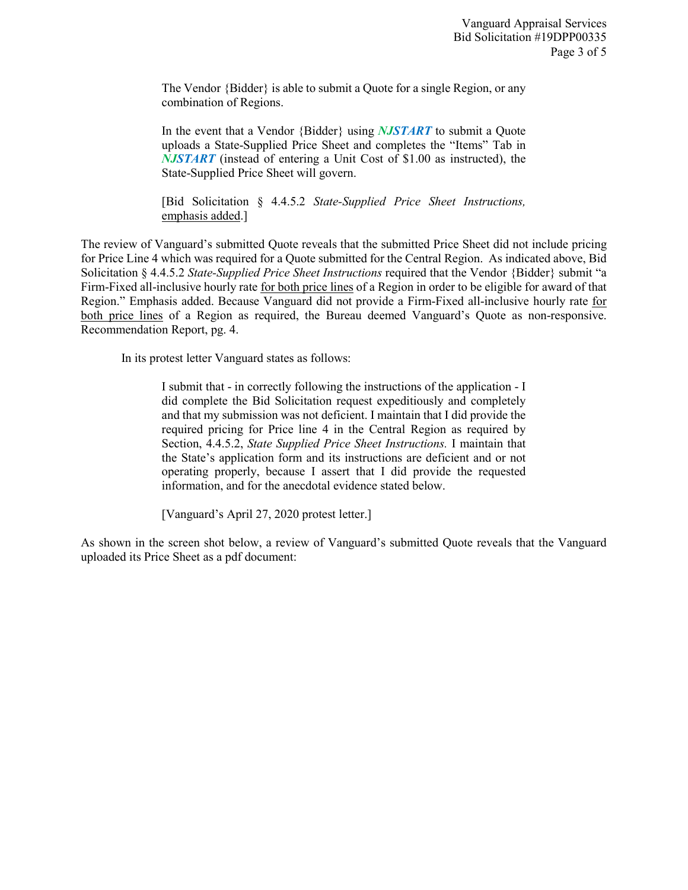The Vendor {Bidder} is able to submit a Quote for a single Region, or any combination of Regions.

In the event that a Vendor {Bidder} using *NJSTART* to submit a Quote uploads a State-Supplied Price Sheet and completes the "Items" Tab in *NJSTART* (instead of entering a Unit Cost of \$1.00 as instructed), the State-Supplied Price Sheet will govern.

[Bid Solicitation § 4.4.5.2 *State-Supplied Price Sheet Instructions,* emphasis added.]

The review of Vanguard's submitted Quote reveals that the submitted Price Sheet did not include pricing for Price Line 4 which was required for a Quote submitted for the Central Region. As indicated above, Bid Solicitation § 4.4.5.2 *State-Supplied Price Sheet Instructions* required that the Vendor {Bidder} submit "a Firm-Fixed all-inclusive hourly rate for both price lines of a Region in order to be eligible for award of that Region." Emphasis added. Because Vanguard did not provide a Firm-Fixed all-inclusive hourly rate for both price lines of a Region as required, the Bureau deemed Vanguard's Quote as non-responsive. Recommendation Report, pg. 4.

In its protest letter Vanguard states as follows:

I submit that - in correctly following the instructions of the application - I did complete the Bid Solicitation request expeditiously and completely and that my submission was not deficient. I maintain that I did provide the required pricing for Price line 4 in the Central Region as required by Section, 4.4.5.2, *State Supplied Price Sheet Instructions.* I maintain that the State's application form and its instructions are deficient and or not operating properly, because I assert that I did provide the requested information, and for the anecdotal evidence stated below.

[Vanguard's April 27, 2020 protest letter.]

As shown in the screen shot below, a review of Vanguard's submitted Quote reveals that the Vanguard uploaded its Price Sheet as a pdf document: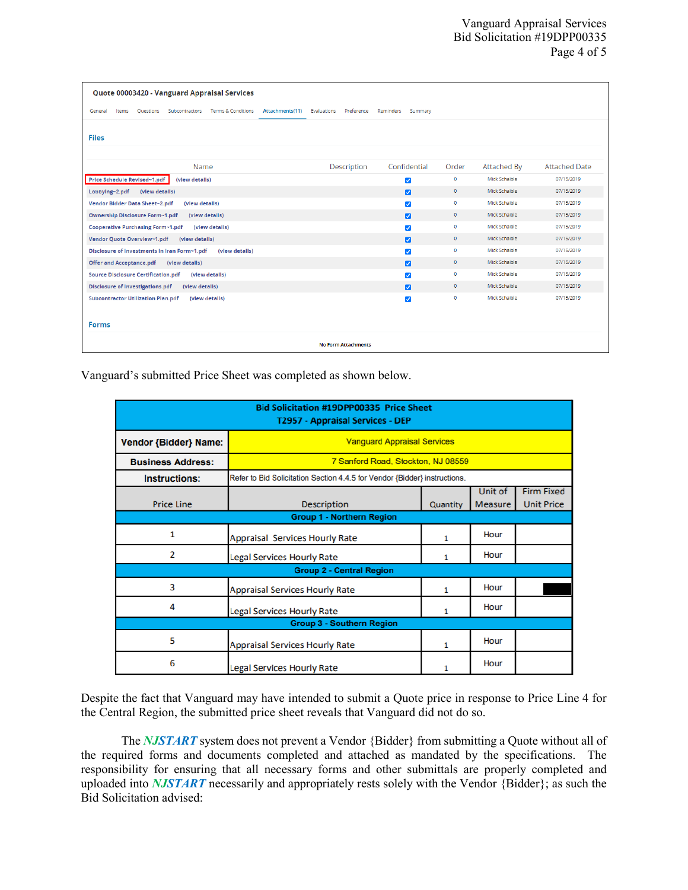| Quote 00003420 - Vanguard Appraisal Services                                                         |             |                         |              |               |                      |  |  |  |
|------------------------------------------------------------------------------------------------------|-------------|-------------------------|--------------|---------------|----------------------|--|--|--|
| Terms & Conditions<br>Subcontractors<br>Attachments(11) Evaluations<br>Items<br>Ouestions<br>General | Preference  | Reminders<br>Summary    |              |               |                      |  |  |  |
| <b>Files</b>                                                                                         |             |                         |              |               |                      |  |  |  |
| Name                                                                                                 | Description | Confidential            | Order        | Attached By   | <b>Attached Date</b> |  |  |  |
| Price Schedule Revised~1.pdf<br>(view details)                                                       |             | $\blacktriangledown$    | $\mathbf 0$  | Mick Schaible | 07/15/2019           |  |  |  |
| Lobbying~2.pdf<br>(view details)                                                                     |             | $\overline{z}$          | $\circ$      | Mick Schaible | 07/15/2019           |  |  |  |
| Vendor Bidder Data Sheet~2.pdf<br>(view details)                                                     |             | $\overline{\mathsf{v}}$ | $\bullet$    | Mick Schaible | 07/15/2019           |  |  |  |
| Ownership Disclosure Form~1.pdf<br>(view details)                                                    |             | ø                       | $\circ$      | Mick Schaible | 07/15/2019           |  |  |  |
| Cooperative Purchasing Form~1.pdf<br>(view details)                                                  |             | $\blacktriangledown$    | $\mathbf 0$  | Mick Schaible | 07/15/2019           |  |  |  |
| Vendor Quote Overview~1.pdf<br>(view details)                                                        |             | $\overline{z}$          | $\circ$      | Mick Schaible | 07/15/2019           |  |  |  |
| Disclosure of investments in Iran Form~1.pdf<br>(view details)                                       |             | $\blacktriangledown$    | $\circ$      | Mick Schaible | 07/15/2019           |  |  |  |
| <b>Offer and Acceptance.pdf</b><br>(view details)                                                    |             | $\overline{a}$          | $\circ$      | Mick Schaible | 07/15/2019           |  |  |  |
| <b>Source Disclosure Certification.pdf</b><br>(view details)                                         |             | $\blacktriangledown$    | $\bullet$    | Mick Schaible | 07/15/2019           |  |  |  |
| <b>Disclosure of Investigations.pdf</b><br>(view details)                                            |             | $\overline{\mathbf{v}}$ | $\mathbf{0}$ | Mick Schaible | 07/15/2019           |  |  |  |
| <b>Subcontractor Utilization Plan.pdf</b><br>(view details)                                          |             | $\blacktriangledown$    | $\circ$      | Mick Schaible | 07/15/2019           |  |  |  |
|                                                                                                      |             |                         |              |               |                      |  |  |  |
| <b>Forms</b>                                                                                         |             |                         |              |               |                      |  |  |  |
| <b>No Form Attachments</b>                                                                           |             |                         |              |               |                      |  |  |  |

Vanguard's submitted Price Sheet was completed as shown below.

| <b>Bid Solicitation #19DPP00335 Price Sheet</b><br>T2957 - Appraisal Services - DEP |                                                                           |          |         |                   |  |  |  |  |
|-------------------------------------------------------------------------------------|---------------------------------------------------------------------------|----------|---------|-------------------|--|--|--|--|
| Vendor {Bidder} Name:                                                               | <b>Vanguard Appraisal Services</b>                                        |          |         |                   |  |  |  |  |
| <b>Business Address:</b>                                                            | 7 Sanford Road, Stockton, NJ 08559                                        |          |         |                   |  |  |  |  |
| <b>Instructions:</b>                                                                | Refer to Bid Solicitation Section 4.4.5 for Vendor {Bidder} instructions. |          |         |                   |  |  |  |  |
|                                                                                     |                                                                           |          | Unit of | <b>Firm Fixed</b> |  |  |  |  |
| <b>Price Line</b>                                                                   | <b>Description</b>                                                        | Quantity | Measure | <b>Unit Price</b> |  |  |  |  |
| <b>Group 1 - Northern Region</b>                                                    |                                                                           |          |         |                   |  |  |  |  |
| 1                                                                                   | <b>Appraisal Services Hourly Rate</b>                                     | 1        | Hour    |                   |  |  |  |  |
| $\overline{\mathbf{z}}$                                                             | <b>Legal Services Hourly Rate</b>                                         | 1        | Hour    |                   |  |  |  |  |
| <b>Group 2 - Central Region</b>                                                     |                                                                           |          |         |                   |  |  |  |  |
| 3                                                                                   | <b>Appraisal Services Hourly Rate</b>                                     | 1        | Hour    |                   |  |  |  |  |
| 4                                                                                   | <b>Legal Services Hourly Rate</b>                                         | 1        | Hour    |                   |  |  |  |  |
| <b>Group 3 - Southern Region</b>                                                    |                                                                           |          |         |                   |  |  |  |  |
| 5                                                                                   | <b>Appraisal Services Hourly Rate</b>                                     | 1        | Hour    |                   |  |  |  |  |
| 6                                                                                   | <b>Legal Services Hourly Rate</b>                                         |          | Hour    |                   |  |  |  |  |

Despite the fact that Vanguard may have intended to submit a Quote price in response to Price Line 4 for the Central Region, the submitted price sheet reveals that Vanguard did not do so.

The *NJSTART* system does not prevent a Vendor {Bidder} from submitting a Quote without all of the required forms and documents completed and attached as mandated by the specifications. The responsibility for ensuring that all necessary forms and other submittals are properly completed and uploaded into *NJSTART* necessarily and appropriately rests solely with the Vendor {Bidder}; as such the Bid Solicitation advised: